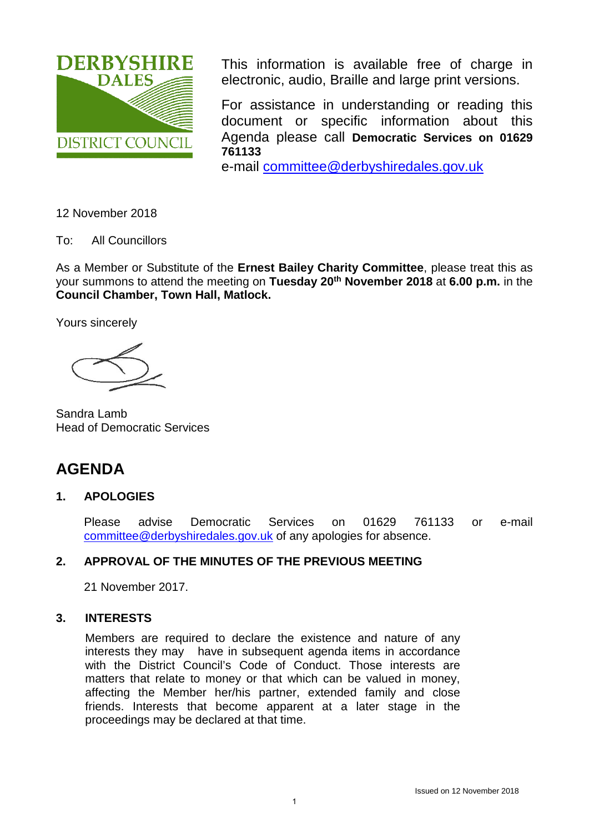

This information is available free of charge in electronic, audio, Braille and large print versions.

For assistance in understanding or reading this document or specific information about this Agenda please call **Democratic Services on 01629 761133**

e-mail [committee@derbyshiredales.gov.uk](mailto:committee@derbyshiredales.gov.uk)

12 November 2018

To: All Councillors

As a Member or Substitute of the **Ernest Bailey Charity Committee**, please treat this as your summons to attend the meeting on **Tuesday 20th November 2018** at **6.00 p.m.** in the **Council Chamber, Town Hall, Matlock.** 

Yours sincerely

Sandra Lamb Head of Democratic Services

# **AGENDA**

## **1. APOLOGIES**

Please advise Democratic Services on 01629 761133 or e-mail [committee@derbyshiredales.gov.uk](mailto:committee@derbyshiredales.gov.uk) of any apologies for absence.

## **2. APPROVAL OF THE MINUTES OF THE PREVIOUS MEETING**

21 November 2017.

## **3. INTERESTS**

Members are required to declare the existence and nature of any interests they may have in subsequent agenda items in accordance with the District Council's Code of Conduct. Those interests are matters that relate to money or that which can be valued in money, affecting the Member her/his partner, extended family and close friends. Interests that become apparent at a later stage in the proceedings may be declared at that time.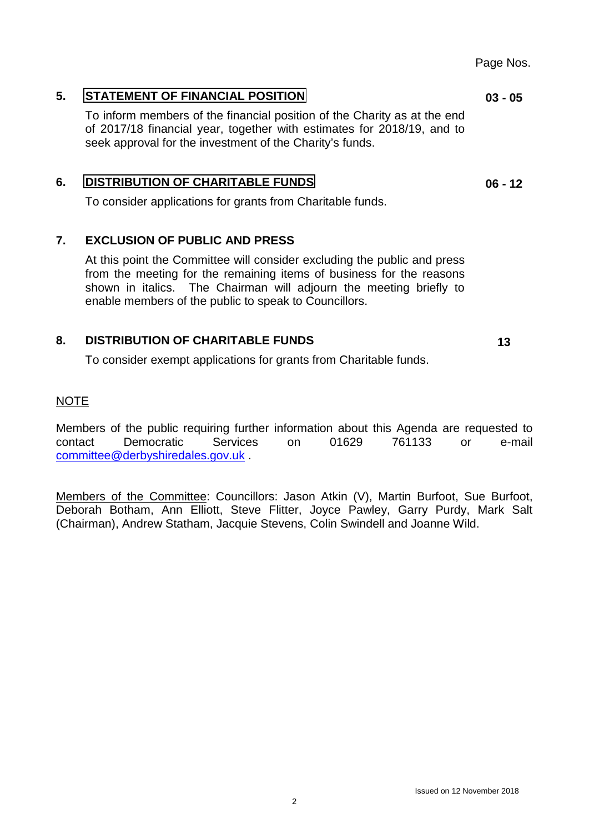# **5. [STATEMENT OF FINANCIAL POSITION](#page-2-0)**

To inform members of the financial position of the Charity as at the end of 2017/18 financial year, together with estimates for 2018/19, and to seek approval for the investment of the Charity's funds.

## **6. [DISTRIBUTION OF CHARITABLE FUNDS](#page-5-0)**

To consider applications for grants from Charitable funds.

#### **7. EXCLUSION OF PUBLIC AND PRESS**

At this point the Committee will consider excluding the public and press from the meeting for the remaining items of business for the reasons shown in italics. The Chairman will adjourn the meeting briefly to enable members of the public to speak to Councillors.

#### **8. DISTRIBUTION OF CHARITABLE FUNDS**

To consider exempt applications for grants from Charitable funds.

#### NOTE

Members of the public requiring further information about this Agenda are requested to contact Democratic Services on 01629 761133 or e-mail [committee@derbyshiredales.gov.uk](mailto:committee@derbyshiredales.gov.uk) .

Members of the Committee: Councillors: Jason Atkin (V), Martin Burfoot, Sue Burfoot, Deborah Botham, Ann Elliott, Steve Flitter, Joyce Pawley, Garry Purdy, Mark Salt (Chairman), Andrew Statham, Jacquie Stevens, Colin Swindell and Joanne Wild.

 $\overline{2}$ 

**03 - 05** 

**06 - 12** 

**13**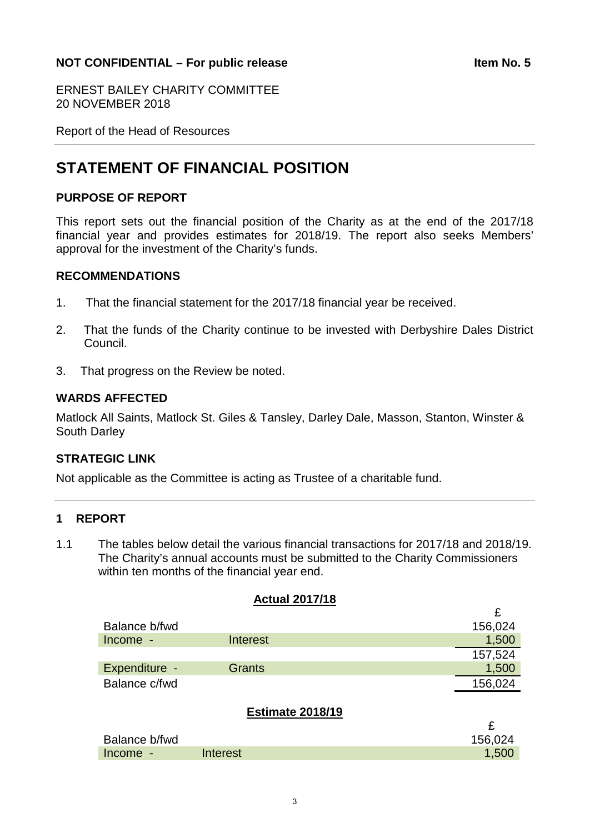## <span id="page-2-0"></span>**NOT CONFIDENTIAL – For public release <b>Internal CONFIDENTIAL** – For public release

ERNEST BAILEY CHARITY COMMITTEE 20 NOVEMBER 2018

Report of the Head of Resources

## **STATEMENT OF FINANCIAL POSITION**

## **PURPOSE OF REPORT**

This report sets out the financial position of the Charity as at the end of the 2017/18 financial year and provides estimates for 2018/19. The report also seeks Members' approval for the investment of the Charity's funds.

## **RECOMMENDATIONS**

- 1. That the financial statement for the 2017/18 financial year be received.
- 2. That the funds of the Charity continue to be invested with Derbyshire Dales District Council.
- 3. That progress on the Review be noted.

## **WARDS AFFECTED**

Matlock All Saints, Matlock St. Giles & Tansley, Darley Dale, Masson, Stanton, Winster & South Darley

## **STRATEGIC LINK**

Not applicable as the Committee is acting as Trustee of a charitable fund.

## **1 REPORT**

1.1 The tables below detail the various financial transactions for 2017/18 and 2018/19. The Charity's annual accounts must be submitted to the Charity Commissioners within ten months of the financial year end.

#### **Actual 2017/18**

| Balance b/fwd |               | 156,024 |
|---------------|---------------|---------|
| Income -      | Interest      | 1,500   |
|               |               | 157,524 |
| Expenditure - | <b>Grants</b> | 1,500   |
| Balance c/fwd |               | 156,024 |
|               |               |         |

## **Estimate 2018/19**

| Balance b/fwd |          | 156,024 |
|---------------|----------|---------|
| Income -      | Interest | 1,500   |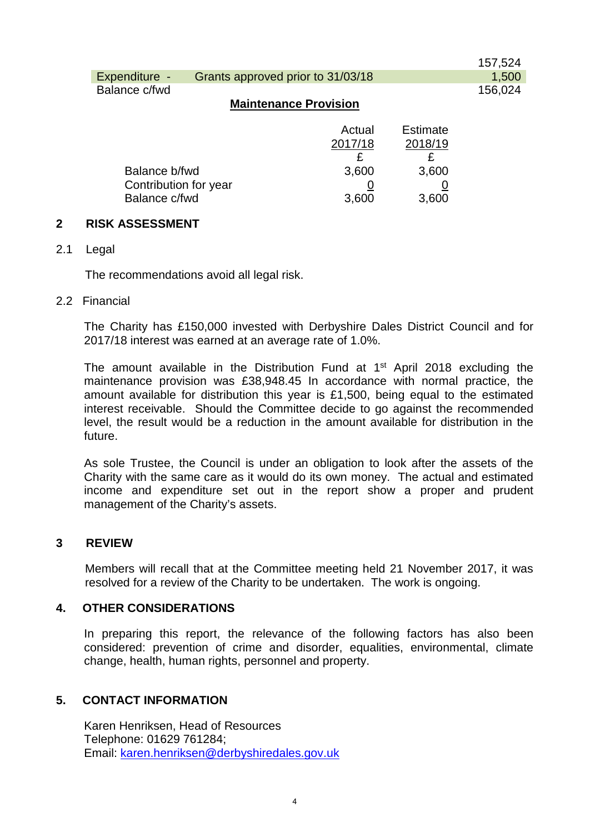|               |                                   | 157,524 |
|---------------|-----------------------------------|---------|
| Expenditure - | Grants approved prior to 31/03/18 | 1.500   |
| Balance c/fwd |                                   | 156,024 |

#### **Maintenance Provision**

|                       | Actual  | <b>Estimate</b> |
|-----------------------|---------|-----------------|
|                       | 2017/18 | 2018/19         |
|                       |         |                 |
| Balance b/fwd         | 3,600   | 3,600           |
| Contribution for year |         |                 |
| Balance c/fwd         | 3,600   | 3,600           |

### **2 RISK ASSESSMENT**

#### 2.1 Legal

The recommendations avoid all legal risk.

#### 2.2 Financial

The Charity has £150,000 invested with Derbyshire Dales District Council and for 2017/18 interest was earned at an average rate of 1.0%.

The amount available in the Distribution Fund at  $1<sup>st</sup>$  April 2018 excluding the maintenance provision was £38,948.45 In accordance with normal practice, the amount available for distribution this year is £1,500, being equal to the estimated interest receivable. Should the Committee decide to go against the recommended level, the result would be a reduction in the amount available for distribution in the future.

As sole Trustee, the Council is under an obligation to look after the assets of the Charity with the same care as it would do its own money. The actual and estimated income and expenditure set out in the report show a proper and prudent management of the Charity's assets.

#### **3 REVIEW**

Members will recall that at the Committee meeting held 21 November 2017, it was resolved for a review of the Charity to be undertaken. The work is ongoing.

#### **4. OTHER CONSIDERATIONS**

In preparing this report, the relevance of the following factors has also been considered: prevention of crime and disorder, equalities, environmental, climate change, health, human rights, personnel and property.

#### **5. CONTACT INFORMATION**

Karen Henriksen, Head of Resources Telephone: 01629 761284; Email: [karen.henriksen@derbyshiredales.gov.uk](mailto:karen.henriksen@derbyshiredales.gov.uk)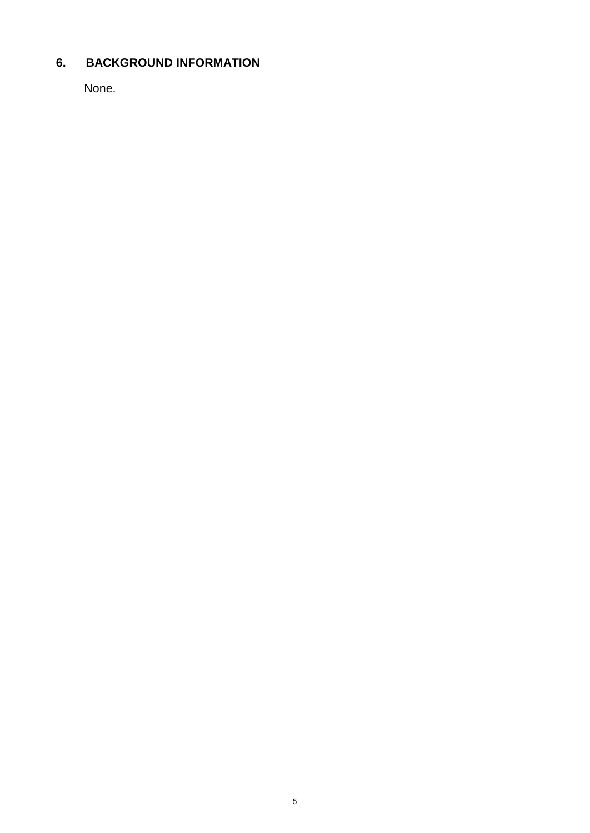## **6. BACKGROUND INFORMATION**

None.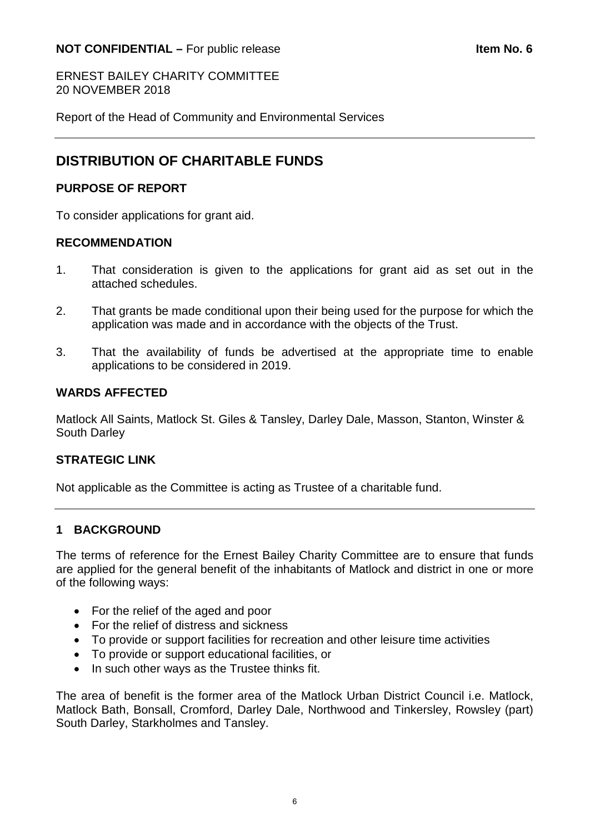<span id="page-5-0"></span>ERNEST BAILEY CHARITY COMMITTEE 20 NOVEMBER 2018

Report of the Head of Community and Environmental Services

## **DISTRIBUTION OF CHARITABLE FUNDS**

## **PURPOSE OF REPORT**

To consider applications for grant aid.

## **RECOMMENDATION**

- 1. That consideration is given to the applications for grant aid as set out in the attached schedules.
- 2. That grants be made conditional upon their being used for the purpose for which the application was made and in accordance with the objects of the Trust.
- 3. That the availability of funds be advertised at the appropriate time to enable applications to be considered in 2019.

## **WARDS AFFECTED**

Matlock All Saints, Matlock St. Giles & Tansley, Darley Dale, Masson, Stanton, Winster & South Darley

## **STRATEGIC LINK**

Not applicable as the Committee is acting as Trustee of a charitable fund.

## **1 BACKGROUND**

The terms of reference for the Ernest Bailey Charity Committee are to ensure that funds are applied for the general benefit of the inhabitants of Matlock and district in one or more of the following ways:

- For the relief of the aged and poor
- For the relief of distress and sickness
- To provide or support facilities for recreation and other leisure time activities
- To provide or support educational facilities, or
- In such other ways as the Trustee thinks fit.

The area of benefit is the former area of the Matlock Urban District Council i.e. Matlock, Matlock Bath, Bonsall, Cromford, Darley Dale, Northwood and Tinkersley, Rowsley (part) South Darley, Starkholmes and Tansley.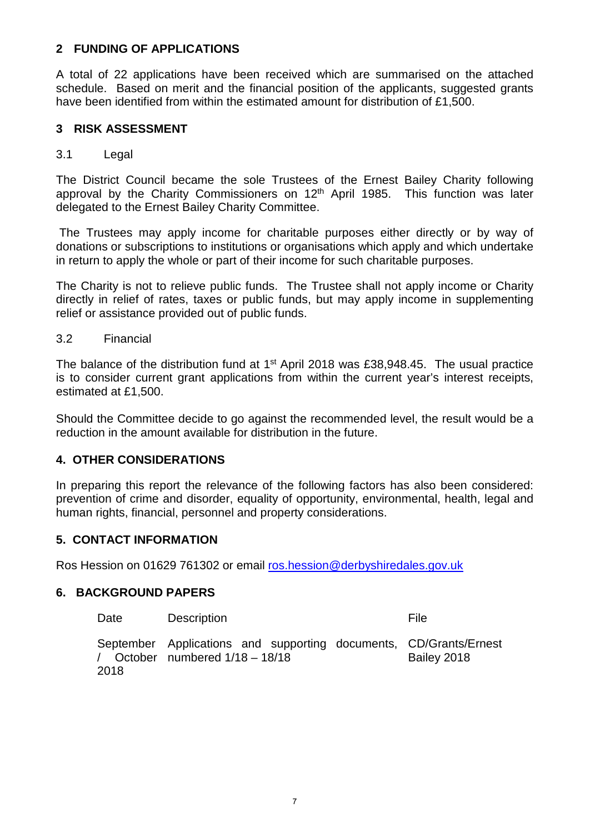## **2 FUNDING OF APPLICATIONS**

A total of 22 applications have been received which are summarised on the attached schedule. Based on merit and the financial position of the applicants, suggested grants have been identified from within the estimated amount for distribution of £1,500.

## **3 RISK ASSESSMENT**

#### 3.1 Legal

The District Council became the sole Trustees of the Ernest Bailey Charity following approval by the Charity Commissioners on  $12<sup>th</sup>$  April 1985. This function was later delegated to the Ernest Bailey Charity Committee.

The Trustees may apply income for charitable purposes either directly or by way of donations or subscriptions to institutions or organisations which apply and which undertake in return to apply the whole or part of their income for such charitable purposes.

The Charity is not to relieve public funds. The Trustee shall not apply income or Charity directly in relief of rates, taxes or public funds, but may apply income in supplementing relief or assistance provided out of public funds.

#### 3.2 Financial

The balance of the distribution fund at 1<sup>st</sup> April 2018 was £38,948,45. The usual practice is to consider current grant applications from within the current year's interest receipts, estimated at £1,500.

Should the Committee decide to go against the recommended level, the result would be a reduction in the amount available for distribution in the future.

## **4. OTHER CONSIDERATIONS**

In preparing this report the relevance of the following factors has also been considered: prevention of crime and disorder, equality of opportunity, environmental, health, legal and human rights, financial, personnel and property considerations.

## **5. CONTACT INFORMATION**

Ros Hession on 01629 761302 or email [ros.hession@derbyshiredales.gov.uk](mailto:ros.hession@derbyshiredales.gov.uk) 

#### **6. BACKGROUND PAPERS**

| Date | <b>Description</b>                                                                                                         | File        |
|------|----------------------------------------------------------------------------------------------------------------------------|-------------|
| 2018 | September Applications and supporting documents, CD/Grants/Ernest<br>$\frac{1}{2}$ October numbered $\frac{1}{18}$ – 18/18 | Bailey 2018 |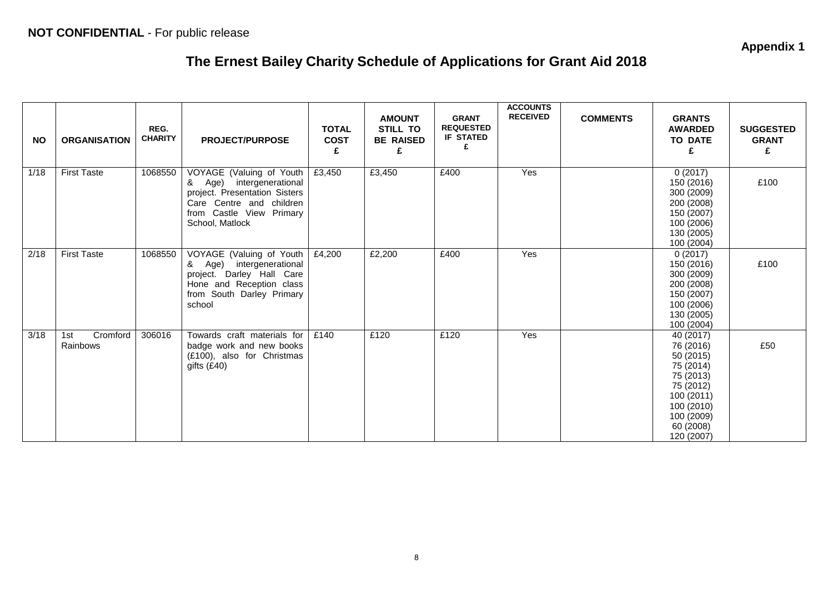**Appendix 1**

# **The Ernest Bailey Charity Schedule of Applications for Grant Aid 2018**

| <b>NO</b> | <b>ORGANISATION</b>                         | REG.<br><b>CHARITY</b> | <b>PROJECT/PURPOSE</b>                                                                                                                                              | <b>TOTAL</b><br><b>COST</b><br>£ | <b>AMOUNT</b><br>STILL TO<br><b>BE RAISED</b> | <b>GRANT</b><br><b>REQUESTED</b><br><b>IF STATED</b><br>£ | <b>ACCOUNTS</b><br><b>RECEIVED</b> | <b>COMMENTS</b> | <b>GRANTS</b><br><b>AWARDED</b><br><b>TO DATE</b><br>£                                                                                         | <b>SUGGESTED</b><br><b>GRANT</b><br>£ |
|-----------|---------------------------------------------|------------------------|---------------------------------------------------------------------------------------------------------------------------------------------------------------------|----------------------------------|-----------------------------------------------|-----------------------------------------------------------|------------------------------------|-----------------|------------------------------------------------------------------------------------------------------------------------------------------------|---------------------------------------|
| 1/18      | <b>First Taste</b>                          | 1068550                | VOYAGE (Valuing of Youth<br>intergenerational<br>& Age)<br>project. Presentation Sisters<br>Care Centre and children<br>from Castle View Primary<br>School, Matlock | £3,450                           | £3,450                                        | £400                                                      | Yes                                |                 | 0(2017)<br>150 (2016)<br>300 (2009)<br>200 (2008)<br>150 (2007)<br>100 (2006)<br>130 (2005)<br>100 (2004)                                      | £100                                  |
| 2/18      | <b>First Taste</b>                          | 1068550                | VOYAGE (Valuing of Youth  <br>& Age) intergenerational<br>project. Darley Hall Care<br>Hone and Reception class<br>from South Darley Primary<br>school              | £4,200                           | £2,200                                        | £400                                                      | Yes                                |                 | 0(2017)<br>150 (2016)<br>300 (2009)<br>200 (2008)<br>150 (2007)<br>100 (2006)<br>130 (2005)<br>100 (2004)                                      | £100                                  |
| 3/18      | $\overline{C}$ romford  <br>1st<br>Rainbows | 306016                 | Towards craft materials for<br>badge work and new books<br>(£100), also for Christmas<br>gifts (£40)                                                                | £140                             | £120                                          | £120                                                      | Yes                                |                 | 40 (2017)<br>76 (2016)<br>50 (2015)<br>75 (2014)<br>75 (2013)<br>75 (2012)<br>100(2011)<br>100 (2010)<br>100 (2009)<br>60 (2008)<br>120 (2007) | £50                                   |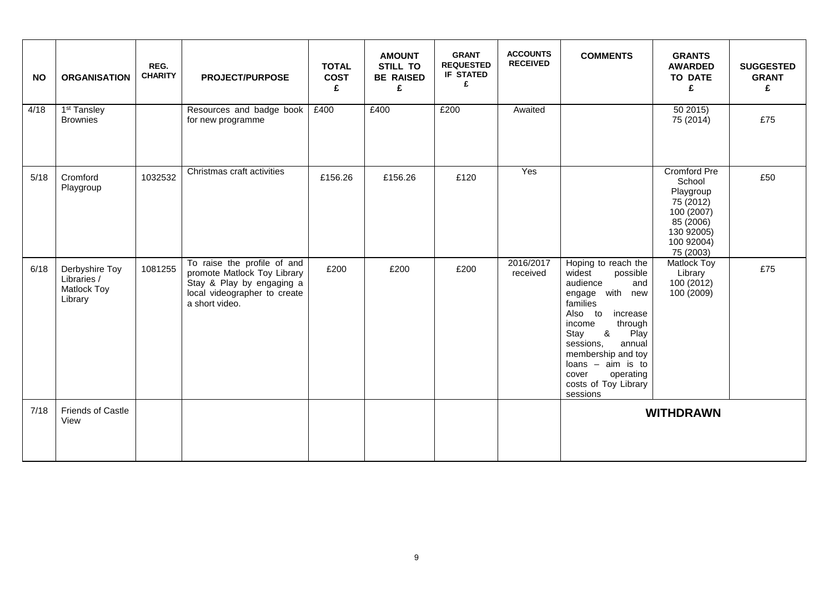| <b>NO</b> | <b>ORGANISATION</b>                                     | REG.<br><b>CHARITY</b> | <b>PROJECT/PURPOSE</b>                                                                                                                    | <b>TOTAL</b><br><b>COST</b><br>£ | <b>AMOUNT</b><br><b>STILL TO</b><br><b>BE RAISED</b><br>£ | <b>GRANT</b><br><b>REQUESTED</b><br><b>IF STATED</b><br>£ | <b>ACCOUNTS</b><br><b>RECEIVED</b> | <b>COMMENTS</b>                                                                                                                                                                                                                                                                               | <b>GRANTS</b><br><b>AWARDED</b><br><b>TO DATE</b><br>£                                                               | <b>SUGGESTED</b><br><b>GRANT</b><br>£ |
|-----------|---------------------------------------------------------|------------------------|-------------------------------------------------------------------------------------------------------------------------------------------|----------------------------------|-----------------------------------------------------------|-----------------------------------------------------------|------------------------------------|-----------------------------------------------------------------------------------------------------------------------------------------------------------------------------------------------------------------------------------------------------------------------------------------------|----------------------------------------------------------------------------------------------------------------------|---------------------------------------|
| 4/18      | 1 <sup>st</sup> Tansley<br><b>Brownies</b>              |                        | Resources and badge book<br>for new programme                                                                                             | £400                             | £400                                                      | £200                                                      | Awaited                            |                                                                                                                                                                                                                                                                                               | 502015<br>75 (2014)                                                                                                  | £75                                   |
| 5/18      | Cromford<br>Playgroup                                   | 1032532                | Christmas craft activities                                                                                                                | £156.26                          | £156.26                                                   | £120                                                      | Yes                                |                                                                                                                                                                                                                                                                                               | Cromford Pre<br>School<br>Playgroup<br>75 (2012)<br>100 (2007)<br>85 (2006)<br>130 92005)<br>100 92004)<br>75 (2003) | £50                                   |
| 6/18      | Derbyshire Toy<br>Libraries /<br>Matlock Toy<br>Library | 1081255                | To raise the profile of and<br>promote Matlock Toy Library<br>Stay & Play by engaging a<br>local videographer to create<br>a short video. | £200                             | £200                                                      | £200                                                      | 2016/2017<br>received              | Hoping to reach the<br>widest<br>possible<br>audience<br>and<br>with new<br>engage<br>families<br>Also to<br>increase<br>income<br>through<br>&<br>Play<br>Stay<br>annual<br>sessions,<br>membership and toy<br>$loans - aim is to$<br>cover<br>operating<br>costs of Toy Library<br>sessions | <b>Matlock Toy</b><br>Library<br>100(2012)<br>100 (2009)                                                             | £75                                   |
| 7/18      | <b>Friends of Castle</b><br>View                        |                        |                                                                                                                                           |                                  |                                                           |                                                           |                                    |                                                                                                                                                                                                                                                                                               | <b>WITHDRAWN</b>                                                                                                     |                                       |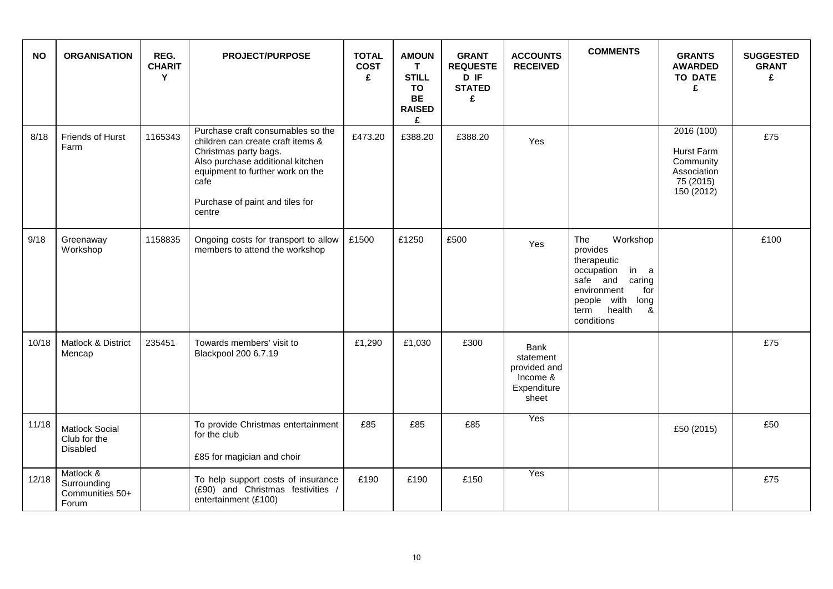| <b>NO</b> | <b>ORGANISATION</b>                                  | REG.<br><b>CHARIT</b><br>Y | <b>PROJECT/PURPOSE</b>                                                                                                                                                                                                       | <b>TOTAL</b><br><b>COST</b><br>£ | <b>AMOUN</b><br>$\mathbf{T}$<br><b>STILL</b><br><b>TO</b><br><b>BE</b><br><b>RAISED</b><br>£ | <b>GRANT</b><br><b>REQUESTE</b><br>D IF<br><b>STATED</b><br>£ | <b>ACCOUNTS</b><br><b>RECEIVED</b>                                    | <b>COMMENTS</b>                                                                                                                                                                 | <b>GRANTS</b><br><b>AWARDED</b><br><b>TO DATE</b><br>£                          | <b>SUGGESTED</b><br><b>GRANT</b><br>£ |
|-----------|------------------------------------------------------|----------------------------|------------------------------------------------------------------------------------------------------------------------------------------------------------------------------------------------------------------------------|----------------------------------|----------------------------------------------------------------------------------------------|---------------------------------------------------------------|-----------------------------------------------------------------------|---------------------------------------------------------------------------------------------------------------------------------------------------------------------------------|---------------------------------------------------------------------------------|---------------------------------------|
| 8/18      | Friends of Hurst<br>Farm                             | 1165343                    | Purchase craft consumables so the<br>children can create craft items &<br>Christmas party bags.<br>Also purchase additional kitchen<br>equipment to further work on the<br>cafe<br>Purchase of paint and tiles for<br>centre | £473.20                          | £388.20                                                                                      | £388.20                                                       | Yes                                                                   |                                                                                                                                                                                 | 2016 (100)<br>Hurst Farm<br>Community<br>Association<br>75 (2015)<br>150 (2012) | £75                                   |
| 9/18      | Greenaway<br>Workshop                                | 1158835                    | Ongoing costs for transport to allow<br>members to attend the workshop                                                                                                                                                       | £1500                            | £1250                                                                                        | £500                                                          | Yes                                                                   | Workshop<br><b>The</b><br>provides<br>therapeutic<br>occupation<br>in a<br>safe and<br>caring<br>environment<br>for<br>people with<br>long<br>health<br>&<br>term<br>conditions |                                                                                 | £100                                  |
| 10/18     | Matlock & District<br>Mencap                         | 235451                     | Towards members' visit to<br>Blackpool 200 6.7.19                                                                                                                                                                            | £1,290                           | £1,030                                                                                       | £300                                                          | Bank<br>statement<br>provided and<br>Income &<br>Expenditure<br>sheet |                                                                                                                                                                                 |                                                                                 | £75                                   |
| 11/18     | <b>Matlock Social</b><br>Club for the<br>Disabled    |                            | To provide Christmas entertainment<br>for the club<br>£85 for magician and choir                                                                                                                                             | £85                              | £85                                                                                          | £85                                                           | Yes                                                                   |                                                                                                                                                                                 | £50 (2015)                                                                      | £50                                   |
| 12/18     | Matlock &<br>Surrounding<br>Communities 50+<br>Forum |                            | To help support costs of insurance<br>(£90) and Christmas festivities /<br>entertainment (£100)                                                                                                                              | £190                             | £190                                                                                         | £150                                                          | Yes                                                                   |                                                                                                                                                                                 |                                                                                 | £75                                   |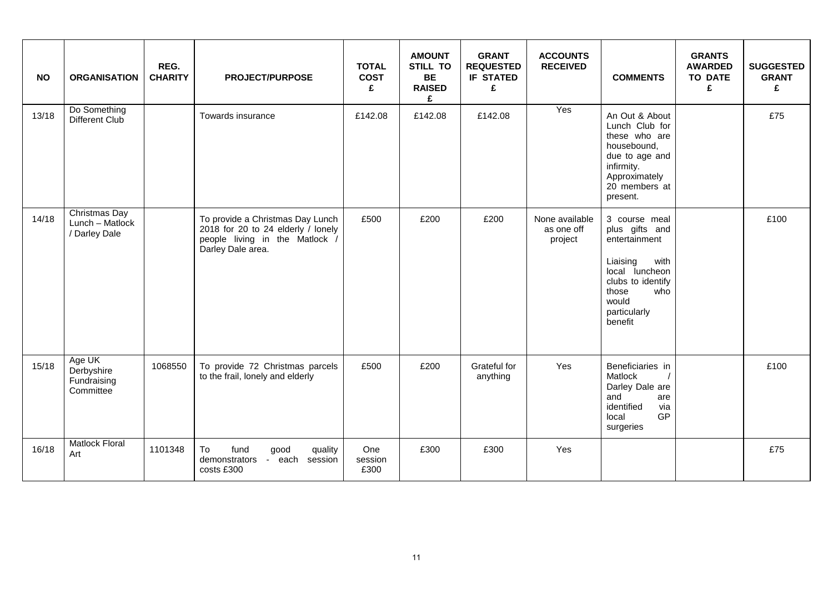| <b>NO</b> | <b>ORGANISATION</b>                               | REG.<br><b>CHARITY</b> | <b>PROJECT/PURPOSE</b>                                                                                                        | <b>TOTAL</b><br><b>COST</b><br>£ | <b>AMOUNT</b><br><b>STILL TO</b><br><b>BE</b><br><b>RAISED</b><br>£ | <b>GRANT</b><br><b>REQUESTED</b><br><b>IF STATED</b><br>£ | <b>ACCOUNTS</b><br><b>RECEIVED</b>      | <b>COMMENTS</b>                                                                                                                                                 | <b>GRANTS</b><br><b>AWARDED</b><br><b>TO DATE</b><br>£ | <b>SUGGESTED</b><br><b>GRANT</b><br>£ |
|-----------|---------------------------------------------------|------------------------|-------------------------------------------------------------------------------------------------------------------------------|----------------------------------|---------------------------------------------------------------------|-----------------------------------------------------------|-----------------------------------------|-----------------------------------------------------------------------------------------------------------------------------------------------------------------|--------------------------------------------------------|---------------------------------------|
| 13/18     | Do Something<br>Different Club                    |                        | Towards insurance                                                                                                             | £142.08                          | £142.08                                                             | £142.08                                                   | Yes                                     | An Out & About<br>Lunch Club for<br>these who are<br>housebound,<br>due to age and<br>infirmity.<br>Approximately<br>20 members at<br>present.                  |                                                        | £75                                   |
| 14/18     | Christmas Day<br>Lunch - Matlock<br>/ Darley Dale |                        | To provide a Christmas Day Lunch<br>2018 for 20 to 24 elderly / lonely<br>people living in the Matlock /<br>Darley Dale area. | £500                             | £200                                                                | £200                                                      | None available<br>as one off<br>project | 3 course meal<br>plus gifts and<br>entertainment<br>Liaising<br>with<br>local luncheon<br>clubs to identify<br>those<br>who<br>would<br>particularly<br>benefit |                                                        | £100                                  |
| 15/18     | Age UK<br>Derbyshire<br>Fundraising<br>Committee  | 1068550                | To provide 72 Christmas parcels<br>to the frail, lonely and elderly                                                           | £500                             | £200                                                                | Grateful for<br>anything                                  | Yes                                     | Beneficiaries in<br>Matlock<br>Darley Dale are<br>and<br>are<br>identified<br>via<br>GP<br>local<br>surgeries                                                   |                                                        | £100                                  |
| 16/18     | <b>Matlock Floral</b><br>Art                      | 1101348                | To<br>fund<br>good<br>quality<br>demonstrators -<br>each<br>session<br>costs £300                                             | One<br>session<br>£300           | £300                                                                | £300                                                      | Yes                                     |                                                                                                                                                                 |                                                        | £75                                   |